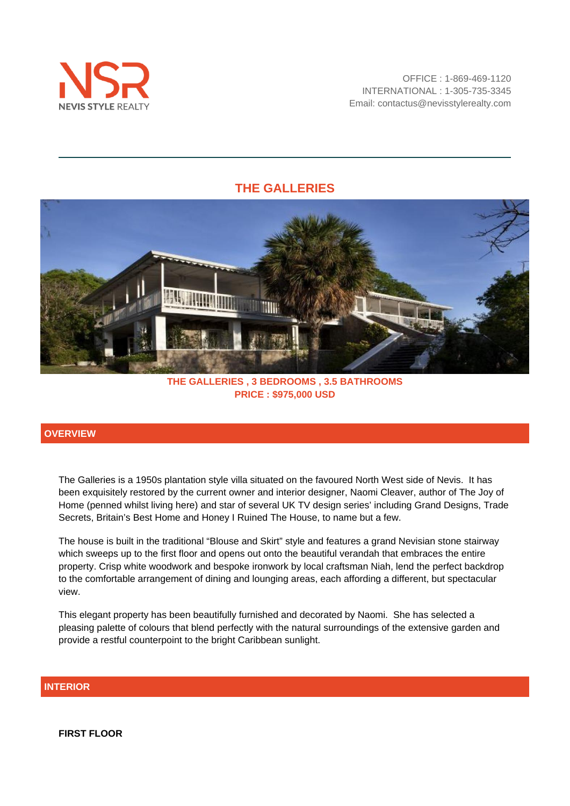

# **THE GALLERIES**



**THE GALLERIES , 3 BEDROOMS , 3.5 BATHROOMS PRICE : \$975,000 USD**

## **OVERVIEW**

The Galleries is a 1950s plantation style villa situated on the favoured North West side of Nevis. It has been exquisitely restored by the current owner and interior designer, Naomi Cleaver, author of The Joy of Home (penned whilst living here) and star of several UK TV design series' including Grand Designs, Trade Secrets, Britain's Best Home and Honey I Ruined The House, to name but a few.

The house is built in the traditional "Blouse and Skirt" style and features a grand Nevisian stone stairway which sweeps up to the first floor and opens out onto the beautiful verandah that embraces the entire property. Crisp white woodwork and bespoke ironwork by local craftsman Niah, lend the perfect backdrop to the comfortable arrangement of dining and lounging areas, each affording a different, but spectacular view.

This elegant property has been beautifully furnished and decorated by Naomi. She has selected a pleasing palette of colours that blend perfectly with the natural surroundings of the extensive garden and provide a restful counterpoint to the bright Caribbean sunlight.

#### **INTERIOR**

**FIRST FLOOR**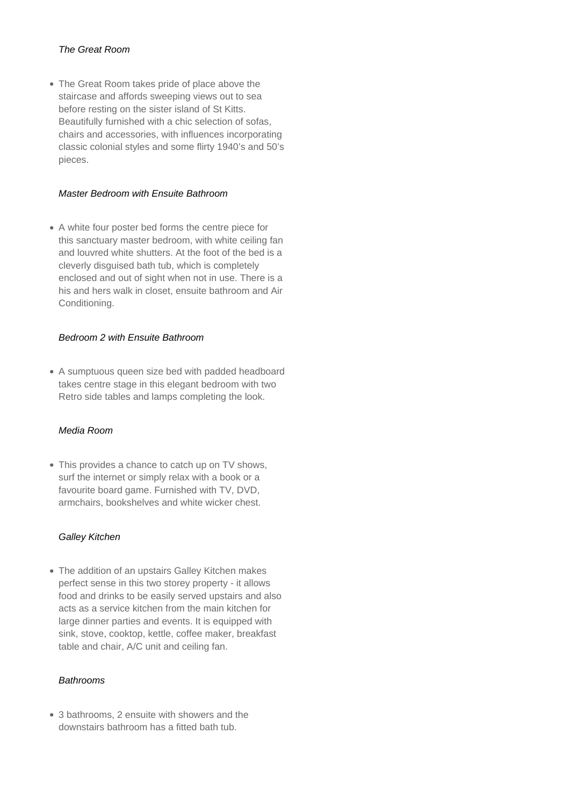#### The Great Room

The Great Room takes pride of place above the staircase and affords sweeping views out to sea before resting on the sister island of St Kitts. Beautifully furnished with a chic selection of sofas, chairs and accessories, with influences incorporating classic colonial styles and some flirty 1940's and 50's pieces.

#### Master Bedroom with Ensuite Bathroom

A white four poster bed forms the centre piece for this sanctuary master bedroom, with white ceiling fan and louvred white shutters. At the foot of the bed is a cleverly disguised bath tub, which is completely enclosed and out of sight when not in use. There is a his and hers walk in closet, ensuite bathroom and Air Conditioning.

#### Bedroom 2 with Ensuite Bathroom

A sumptuous queen size bed with padded headboard takes centre stage in this elegant bedroom with two Retro side tables and lamps completing the look.

#### Media Room

• This provides a chance to catch up on TV shows. surf the internet or simply relax with a book or a favourite board game. Furnished with TV, DVD, armchairs, bookshelves and white wicker chest.

#### Galley Kitchen

The addition of an upstairs Galley Kitchen makes perfect sense in this two storey property - it allows food and drinks to be easily served upstairs and also acts as a service kitchen from the main kitchen for large dinner parties and events. It is equipped with sink, stove, cooktop, kettle, coffee maker, breakfast table and chair, A/C unit and ceiling fan.

#### **Bathrooms**

• 3 bathrooms, 2 ensuite with showers and the downstairs bathroom has a fitted bath tub.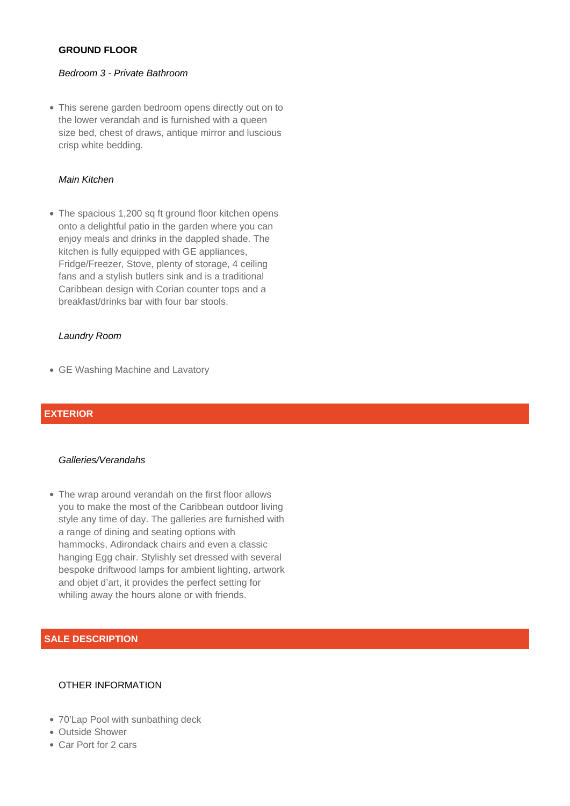#### **GROUND FLOOR**

#### Bedroom 3 - Private Bathroom

This serene garden bedroom opens directly out on to the lower verandah and is furnished with a queen size bed, chest of draws, antique mirror and luscious crisp white bedding.

#### Main Kitchen

The spacious 1,200 sq ft ground floor kitchen opens onto a delightful patio in the garden where you can enjoy meals and drinks in the dappled shade. The kitchen is fully equipped with GE appliances, Fridge/Freezer, Stove, plenty of storage, 4 ceiling fans and a stylish butlers sink and is a traditional Caribbean design with Corian counter tops and a breakfast/drinks bar with four bar stools.

#### Laundry Room

GE Washing Machine and Lavatory

#### **EXTERIOR**

#### Galleries/Verandahs

• The wrap around verandah on the first floor allows you to make the most of the Caribbean outdoor living style any time of day. The galleries are furnished with a range of dining and seating options with hammocks, Adirondack chairs and even a classic hanging Egg chair. Stylishly set dressed with several bespoke driftwood lamps for ambient lighting, artwork and objet d'art, it provides the perfect setting for whiling away the hours alone or with friends.

### **SALE DESCRIPTION**

#### OTHER INFORMATION

- 70'Lap Pool with sunbathing deck
- Outside Shower
- Car Port for 2 cars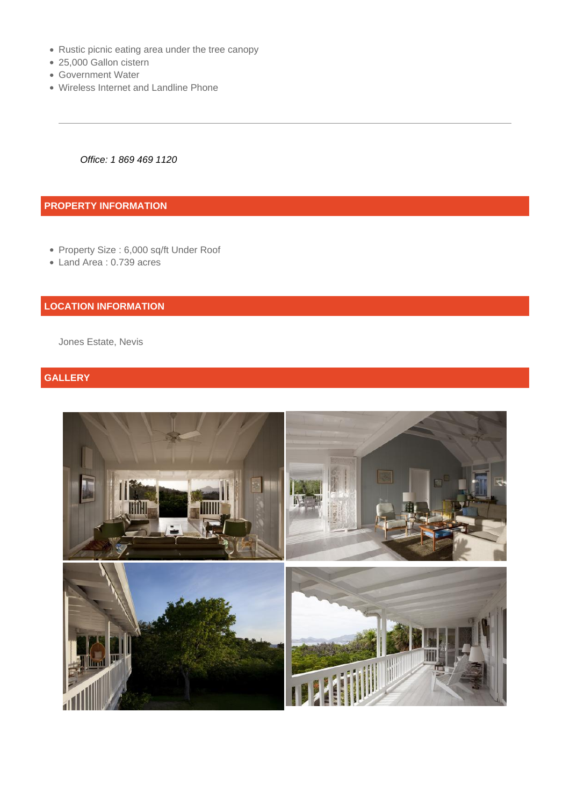- Rustic picnic eating area under the tree canopy
- 25,000 Gallon cistern
- Government Water
- Wireless Internet and Landline Phone

Office: 1 869 469 1120

## **PROPERTY INFORMATION**

- Property Size : 6,000 sq/ft Under Roof
- Land Area : 0.739 acres

## **LOCATION INFORMATION**

Jones Estate, Nevis

# **GALLERY**

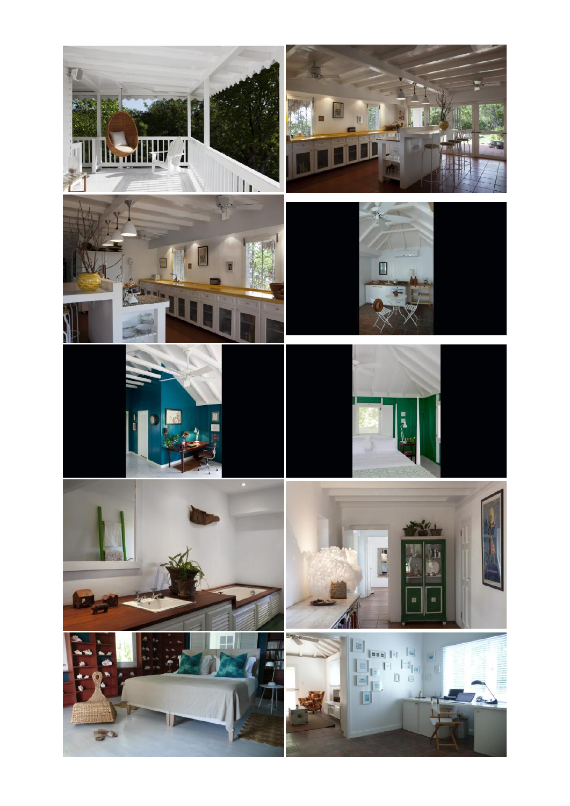